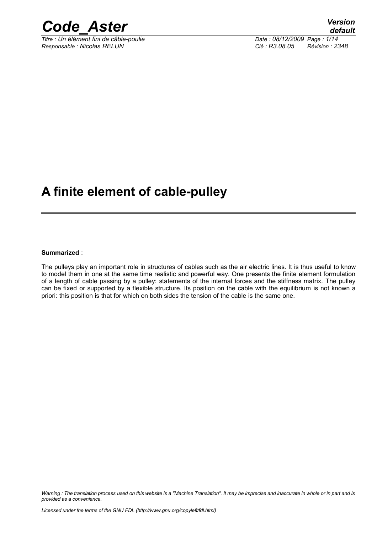

*Titre : Un élément fini de câble-poulie Date : 08/12/2009 Page : 1/14 Responsable : Nicolas RELUN Clé : R3.08.05 Révision : 2348*

# **A finite element of cable-pulley**

**Summarized** :

The pulleys play an important role in structures of cables such as the air electric lines. It is thus useful to know to model them in one at the same time realistic and powerful way. One presents the finite element formulation of a length of cable passing by a pulley: statements of the internal forces and the stiffness matrix. The pulley can be fixed or supported by a flexible structure. Its position on the cable with the equilibrium is not known a priori: this position is that for which on both sides the tension of the cable is the same one.

*Warning : The translation process used on this website is a "Machine Translation". It may be imprecise and inaccurate in whole or in part and is provided as a convenience.*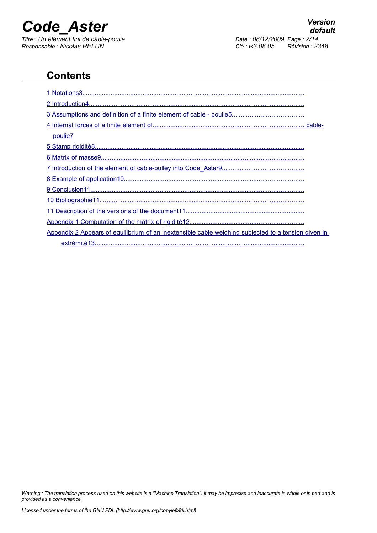*Responsable : Nicolas RELUN Clé : R3.08.05 Révision : 2348*

*default Titre : Un élément fini de câble-poulie Date : 08/12/2009 Page : 2/14*

## **Contents**

| poulie7                                                                                             |  |
|-----------------------------------------------------------------------------------------------------|--|
|                                                                                                     |  |
|                                                                                                     |  |
|                                                                                                     |  |
|                                                                                                     |  |
|                                                                                                     |  |
|                                                                                                     |  |
|                                                                                                     |  |
|                                                                                                     |  |
| Appendix 2 Appears of equilibrium of an inextensible cable weighing subjected to a tension given in |  |
|                                                                                                     |  |

*Warning : The translation process used on this website is a "Machine Translation". It may be imprecise and inaccurate in whole or in part and is provided as a convenience.*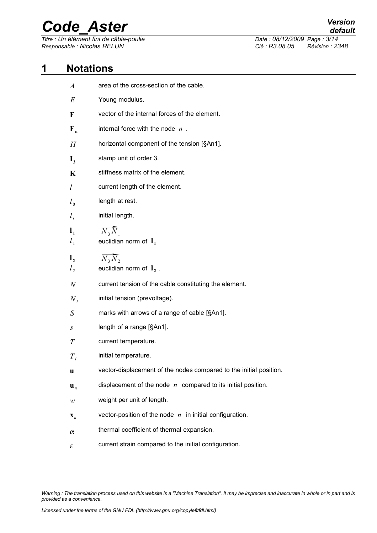*Responsable : Nicolas RELUN Clé : R3.08.05 Révision : 2348*

*Titre : Un élément fini de câble-poulie Date : 08/12/2009 Page : 3/14*

### **1 Notations**

<span id="page-2-0"></span>

| $\boldsymbol{A}$ | area of the cross-section of the cable.                            |
|------------------|--------------------------------------------------------------------|
| E                | Young modulus.                                                     |
| $\mathbf F$      | vector of the internal forces of the element.                      |
| $F_{n}$          | internal force with the node $n$ .                                 |
| H                | horizontal component of the tension [§An1].                        |
| $\mathbf{I}_3$   | stamp unit of order 3.                                             |
| K                | stiffness matrix of the element.                                   |
| $\iota$          | current length of the element.                                     |
| $l_0$            | length at rest.                                                    |
| $l_i$            | initial length.                                                    |
| $l_1$            | $\overline{N_3 N_1}$                                               |
| $l_1$            | euclidian norm of $I_1$                                            |
| $\mathbf{l}_2$   | $N_3\overline{N}_2$                                                |
| l <sub>2</sub>   | euclidian norm of $I_2$ .                                          |
| $\boldsymbol{N}$ | current tension of the cable constituting the element.             |
| $N_{i}$          | initial tension (prevoltage).                                      |
| S                | marks with arrows of a range of cable [§An1].                      |
| $\boldsymbol{S}$ | length of a range [§An1].                                          |
| T                | current temperature.                                               |
| $T_{i}$          | initial temperature.                                               |
| u                | vector-displacement of the nodes compared to the initial position. |
| $\mathbf{u}_n$   | displacement of the node $n$ compared to its initial position.     |
| w                | weight per unit of length.                                         |
| $\mathbf{X}_n$   | vector-position of the node $n$ in initial configuration.          |
| $\alpha$         | thermal coefficient of thermal expansion.                          |
| ε                | current strain compared to the initial configuration.              |

*Warning : The translation process used on this website is a "Machine Translation". It may be imprecise and inaccurate in whole or in part and is provided as a convenience.*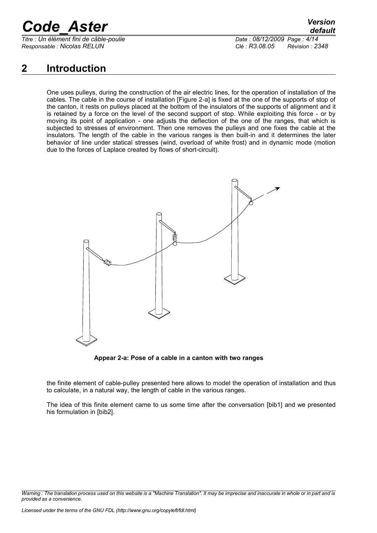*Titre : Un élément fini de câble-poulie Date : 08/12/2009 Page : 4/14 Responsable : Nicolas RELUN Clé : R3.08.05 Révision : 2348*

*default*

## <span id="page-3-0"></span>**2 Introduction**

One uses pulleys, during the construction of the air electric lines, for the operation of installation of the cables. The cable in the course of installation [Figure 2-a] is fixed at the one of the supports of stop of the canton, it rests on pulleys placed at the bottom of the insulators of the supports of alignment and it is retained by a force on the level of the second support of stop. While exploiting this force - or by moving its point of application - one adjusts the deflection of the one of the ranges, that which is subjected to stresses of environment. Then one removes the pulleys and one fixes the cable at the insulators. The length of the cable in the various ranges is then built-in and it determines the later behavior of line under statical stresses (wind, overload of white frost) and in dynamic mode (motion due to the forces of Laplace created by flows of short-circuit).



**Appear 2-a: Pose of a cable in a canton with two ranges**

the finite element of cable-pulley presented here allows to model the operation of installation and thus to calculate, in a natural way, the length of cable in the various ranges.

The idea of this finite element came to us some time after the conversation [bib1] and we presented his formulation in [bib2].

*Warning : The translation process used on this website is a "Machine Translation". It may be imprecise and inaccurate in whole or in part and is provided as a convenience.*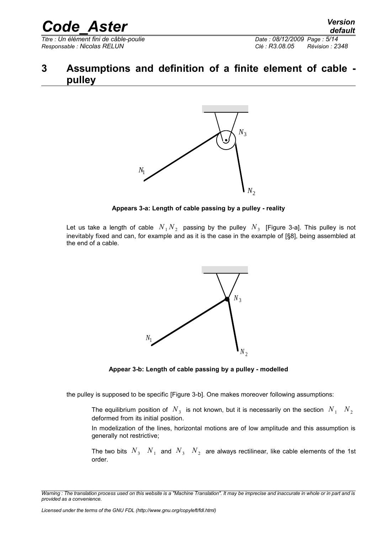*Responsable : Nicolas RELUN Clé : R3.08.05 Révision : 2348*

*Titre : Un élément fini de câble-poulie Date : 08/12/2009 Page : 5/14*

### <span id="page-4-0"></span>**3 Assumptions and definition of a finite element of cable pulley**



#### **Appears 3-a: Length of cable passing by a pulley - reality**

Let us take a length of cable  $\;N_{\,1}N_{\,2}\;$  passing by the pulley  $\;N_{\,3}\;$  [Figure 3-a]. This pulley is not inevitably fixed and can, for example and as it is the case in the example of [§8], being assembled at the end of a cable.



**Appear 3-b: Length of cable passing by a pulley - modelled**

the pulley is supposed to be specific [Figure 3-b]. One makes moreover following assumptions:

The equilibrium position of  $N^3$  is not known, but it is necessarily on the section  $N^1$   $N^2$ deformed from its initial position.

In modelization of the lines, horizontal motions are of low amplitude and this assumption is generally not restrictive;

The two bits  $\ N_{3}$   $\ N_{1}$  and  $\ N_{3}$   $\ N_{2}$  are always rectilinear, like cable elements of the 1st order.

*Warning : The translation process used on this website is a "Machine Translation". It may be imprecise and inaccurate in whole or in part and is provided as a convenience.*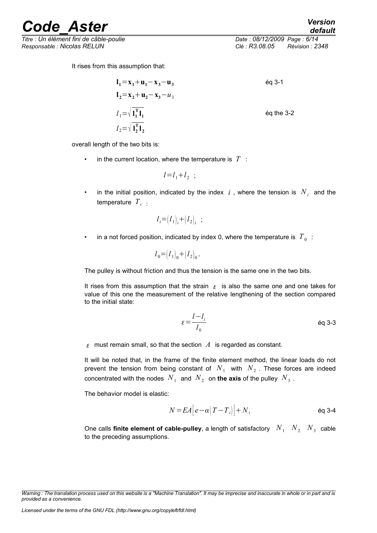reade Aster<sup> Version</sup>

*Titre : Un élément fini de câble-poulie Date : 08/12/2009 Page : 6/14 Responsable : Nicolas RELUN Clé : R3.08.05 Révision : 2348*

*default*

It rises from this assumption that:

$$
l_1 = x_1 + u_1 - x_3 - u_3
$$
  
\n
$$
l_2 = x_2 + u_2 - x_3 - u_3
$$
  
\n
$$
l_1 = \sqrt{\mathbf{l}_1^T \mathbf{l}_1}
$$
  
\n
$$
l_2 = \sqrt{\mathbf{l}_2^T \mathbf{l}_2}
$$
  
\n
$$
\text{Eq the 3-2}
$$

overall length of the two bits is:

in the current location, where the temperature is  $T$  :

$$
l = l_1 + l_2 ;
$$

• in the initial position, indicated by the index  $i$  , where the tension is  $N_i$  and the temperature  $T_i$ :

$$
l_i = (l_1)_i + (l_2)_i ;
$$

• in a not forced position, indicated by index 0, where the temperature is  $|T_{\bar{0}}|$  :

$$
l_0 = (l_1)_0 + (l_2)_0.
$$

The pulley is without friction and thus the tension is the same one in the two bits.

It rises from this assumption that the strain  $\epsilon$  is also the same one and one takes for value of this one the measurement of the relative lengthening of the section compared to the initial state:

$$
\varepsilon = \frac{l - l_i}{l_0} \qquad \qquad \text{Eq 3-3}
$$

 $\epsilon$  must remain small, so that the section  $\Lambda$  is regarded as constant.

It will be noted that, in the frame of the finite element method, the linear loads do not prevent the tension from being constant of  $N_1$  with  $N_2$  . These forces are indeed concentrated with the nodes  $\,N_{\,1}\,$  and  $\,N_{\,2}\,$  on **the axis** of the pulley  $\,N_{\,3}\,$  .

The behavior model is elastic:

$$
N = EA \left| e - \alpha \left( T - T_i \right) \right| + N_i
$$

One calls finite element of cable-pulley, a length of satisfactory  $N_1$   $N_2$   $N_3$  cable to the preceding assumptions.

*Warning : The translation process used on this website is a "Machine Translation". It may be imprecise and inaccurate in whole or in part and is provided as a convenience.*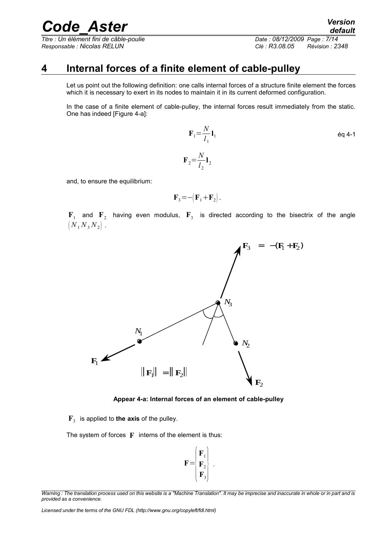*Titre : Un élément fini de câble-poulie Date : 08/12/2009 Page : 7/14 Responsable : Nicolas RELUN Clé : R3.08.05 Révision : 2348*

### **4 Internal forces of a finite element of cable-pulley**

<span id="page-6-0"></span>Let us point out the following definition: one calls internal forces of a structure finite element the forces which it is necessary to exert in its nodes to maintain it in its current deformed configuration.

In the case of a finite element of cable-pulley, the internal forces result immediately from the static. One has indeed [Figure 4-a]:

> $\mathbf{F}_1 = \frac{N}{l}$ *l* 1 **l** <sup>1</sup> éq 4-1  $\mathbf{F}_{2} = \frac{N}{l}$ *l* 2 **l** 2

and, to ensure the equilibrium:

$$
\mathbf{F}_3 = -(\mathbf{F}_1 + \mathbf{F}_2).
$$

 $\mathbf{F}_1$  and  $\mathbf{F}_2$  having even modulus,  $\mathbf{F}_3$  is directed according to the bisectrix of the angle  $(N_1 N_3 N_2)$ .



**Appear 4-a: Internal forces of an element of cable-pulley**

**F**3 is applied to **the axis** of the pulley.

The system of forces **F** interns of the element is thus:

$$
\mathbf{F} = \begin{pmatrix} \mathbf{F}_1 \\ \mathbf{F}_2 \\ \mathbf{F}_3 \end{pmatrix} .
$$

*Licensed under the terms of the GNU FDL (http://www.gnu.org/copyleft/fdl.html)*

*Warning : The translation process used on this website is a "Machine Translation". It may be imprecise and inaccurate in whole or in part and is provided as a convenience.*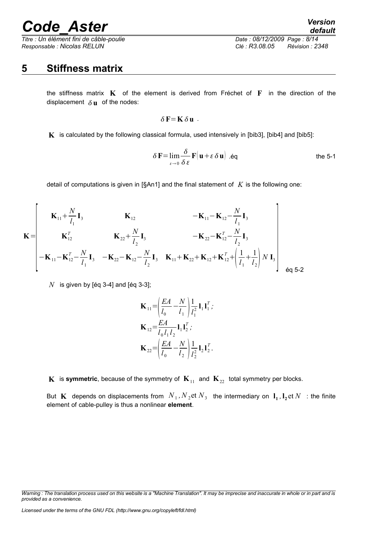*Titre : Un élément fini de câble-poulie Date : 08/12/2009 Page : 8/14 Responsable : Nicolas RELUN Clé : R3.08.05 Révision : 2348*

# *default*

### <span id="page-7-0"></span>**5 Stiffness matrix**

the stiffness matrix **K** of the element is derived from Fréchet of **F** in the direction of the displacement  $\delta$ **u** of the nodes:

$$
\delta F = K \, \delta u \; .
$$

**K** is calculated by the following classical formula, used intensively in [bib3], [bib4] and [bib5]:

$$
\delta \mathbf{F} = \lim_{\varepsilon \to 0} \frac{\delta}{\delta \varepsilon} \mathbf{F} \big( \mathbf{u} + \varepsilon \, \delta \, \mathbf{u} \big) \text{ .eq} \qquad \text{the 5-1}
$$

detail of computations is given in [§An1] and the final statement of *K* is the following one:

$$
\mathbf{K} = \begin{bmatrix} \mathbf{K}_{11} + \frac{N}{l_1} \mathbf{I}_3 & \mathbf{K}_{12} & -\mathbf{K}_{11} - \mathbf{K}_{12} - \frac{N}{l_1} \mathbf{I}_3 \\ \mathbf{K}_{12}^T & \mathbf{K}_{22} + \frac{N}{l_2} \mathbf{I}_3 & -\mathbf{K}_{22} - \mathbf{K}_{12}^T - \frac{N}{l_2} \mathbf{I}_3 \\ -\mathbf{K}_{11} - \mathbf{K}_{12}^T - \frac{N}{l_1} \mathbf{I}_3 & -\mathbf{K}_{22} - \mathbf{K}_{12} - \frac{N}{l_2} \mathbf{I}_3 & \mathbf{K}_{11} + \mathbf{K}_{22} + \mathbf{K}_{12} + \mathbf{K}_{12}^T + \left(\frac{1}{l_1} + \frac{1}{l_2}\right) N \mathbf{I}_3 \\ \end{bmatrix} \quad \text{eq 5-2}
$$

 $N$  is given by [éq 3-4] and [éq 3-3];

$$
\mathbf{K}_{11} = \left(\frac{EA}{l_0} - \frac{N}{l_1}\right) \frac{1}{l_1^2} \mathbf{1}_1 \mathbf{1}_1^T;
$$
\n
$$
\mathbf{K}_{12} = \frac{EA}{l_0 l_1 l_2} \mathbf{1}_1 \mathbf{1}_2^T;
$$
\n
$$
\mathbf{K}_{22} = \left(\frac{EA}{l_0} - \frac{N}{l_2}\right) \frac{1}{l_2^2} \mathbf{1}_2 \mathbf{1}_2^T.
$$

**K** is **symmetric**, because of the symmetry of  $\mathbf{K}_{11}$  and  $\mathbf{K}_{22}$  total symmetry per blocks.

But  $\mathbf{K}$  depends on displacements from  $N_1$ ,  $N_2$ et  $N_3$  the intermediary on  $\mathbf{l}_1$ ,  $\mathbf{l}_2$ et  $N$  : the finite element of cable-pulley is thus a nonlinear **element**.

*Licensed under the terms of the GNU FDL (http://www.gnu.org/copyleft/fdl.html)*

*Warning : The translation process used on this website is a "Machine Translation". It may be imprecise and inaccurate in whole or in part and is provided as a convenience.*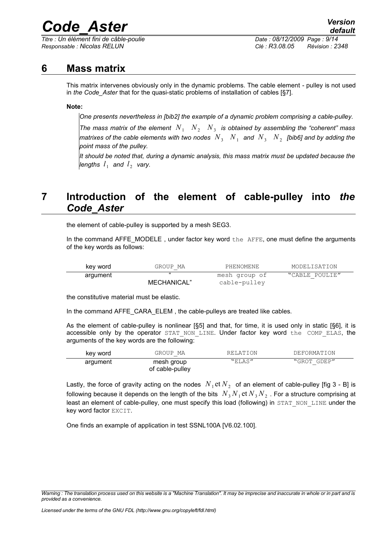*Titre : Un élément fini de câble-poulie Date : 08/12/2009 Page : 9/14 Responsable : Nicolas RELUN Clé : R3.08.05 Révision : 2348*

### **6 Mass matrix**

<span id="page-8-1"></span>This matrix intervenes obviously only in the dynamic problems. The cable element - pulley is not used in *the Code\_Aster* that for the quasi-static problems of installation of cables [§7].

#### **Note:**

*One presents nevertheless in [bib2] the example of a dynamic problem comprising a cable-pulley.*

*The mass matrix of the element*  $N_1$   $N_2$   $N_3$  is obtained by assembling the "coherent" mass *matrixes of the cable elements with two nodes*  $\;N_{3}\;$  $\;N_{1}\;$  *and*  $\;N_{3}\;$  $\;N_{2}\;$  *[bib6] and by adding the point mass of the pulley.*

*It should be noted that, during a dynamic analysis, this mass matrix must be updated because the lengths*  $l_1$  and  $l_2$  vary.

## <span id="page-8-0"></span>**7 Introduction of the element of cable-pulley into** *the Code\_Aster*

the element of cable-pulley is supported by a mesh SEG3.

In the command AFFE\_MODELE, under factor key word  $the$  AFFE, one must define the arguments of the key words as follows:

| key word | GROUP MA    | PHENOMENE     | MODELISATION   |  |
|----------|-------------|---------------|----------------|--|
| argument | "           | mesh group of | "CABLE POULIE" |  |
|          | MECHANICAL" | cable-pulley  |                |  |

the constitutive material must be elastic.

In the command AFFE\_CARA\_ELEM , the cable-pulleys are treated like cables.

As the element of cable-pulley is nonlinear [§5] and that, for time, it is used only in static [§6], it is accessible only by the operator STAT NON LINE. Under factor key word the COMP ELAS, the arguments of the key words are the following:

| key word | GROUP MA                      | RELATION | DEFORMATION |
|----------|-------------------------------|----------|-------------|
| argument | mesh group<br>of cable-pulley | "ELAS"   | "GROT GDEP" |

Lastly, the force of gravity acting on the nodes  $\,N_{\,1}\text{et}\,N_{\,2}\,$  of an element of cable-pulley [fig 3 - B] is following because it depends on the length of the bits  $\;N_{\,3}\,N_{\,1}\,$ et  $N_{\,3}\,N_{\,2}\,$  . For a structure comprising at least an element of cable-pulley, one must specify this load (following) in STAT NON LINE under the key word factor EXCIT.

One finds an example of application in test SSNL100A [V6.02.100].

*Warning : The translation process used on this website is a "Machine Translation". It may be imprecise and inaccurate in whole or in part and is provided as a convenience.*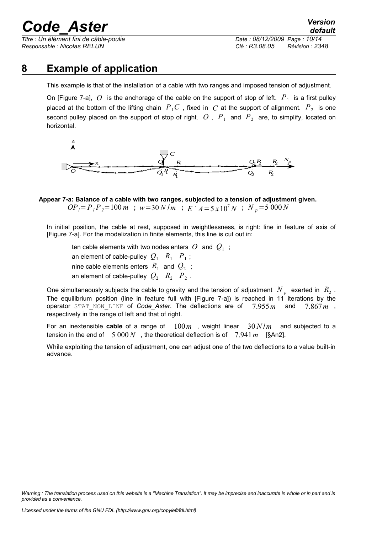*Titre : Un élément fini de câble-poulie Date : 08/12/2009 Page : 10/14 Responsable : Nicolas RELUN Clé : R3.08.05 Révision : 2348*

### **8 Example of application**

<span id="page-9-0"></span>This example is that of the installation of a cable with two ranges and imposed tension of adjustment.

On [Figure 7-a],  $\,O\,$  is the anchorage of the cable on the support of stop of left.  $\,P_{\,1}\,$  is a first pulley placed at the bottom of the lifting chain  $\overline{P}_1 C$  , fixed in  $\overline{C}$  at the support of alignment.  $\overline{P}_2$  is one second pulley placed on the support of stop of right.  $|O|$ ,  $|P|_1$  and  $|P|_2$  are, to simplify, located on horizontal.



**Appear 7-a: Balance of a cable with two ranges, subjected to a tension of adjustment given.**   $OP_1 = P_1 P_2 = 100 \text{ m}$ ;  $w = 30 \text{ N/m}$ ;  $E' A = 5 \times 10^7 \text{ N}$ ;  $N_p = 5000 \text{ N}$ 

In initial position, the cable at rest, supposed in weightlessness, is right: line in feature of axis of [Figure 7-a]. For the modelization in finite elements, this line is cut out in:

ten cable elements with two nodes enters  $\, O\,$  and  $\, Q_{1} \,$  ; an element of cable-pulley  $|Q_1 \rangle \langle R_1 \rangle \langle P_1 \rangle$  ; nine cable elements enters  $\ R_{1}^{{}}\ \ \textsf{and}\ \ Q_{2}^{{}}\,$  ; an element of cable-pulley  $|Q_2 \rangle/R_2$   $|P_2 \rangle$ .

One simultaneously subjects the cable to gravity and the tension of adjustment  $N_{p}$  exerted in  $R_{2}$  . The equilibrium position (line in feature full with [Figure 7-a]) is reached in 11 iterations by the operator STAT\_NON\_LINE of *Code\_Aster*. The deflections are of 7.955*m* and 7.867*m* , respectively in the range of left and that of right.

For an inextensible **cable** of a range of 100*m* , weight linear 30 *N* /*m* and subjected to a tension in the end of  $5000 N$ , the theoretical deflection is of  $7.941 m$  [§An2].

While exploiting the tension of adjustment, one can adjust one of the two deflections to a value built-in advance.

*Warning : The translation process used on this website is a "Machine Translation". It may be imprecise and inaccurate in whole or in part and is provided as a convenience.*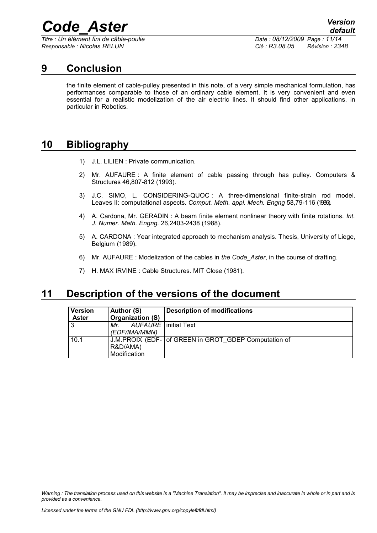*Titre : Un élément fini de câble-poulie Date : 08/12/2009 Page : 11/14 Responsable : Nicolas RELUN Clé : R3.08.05 Révision : 2348*

### **9 Conclusion**

<span id="page-10-2"></span>the finite element of cable-pulley presented in this note, of a very simple mechanical formulation, has performances comparable to those of an ordinary cable element. It is very convenient and even essential for a realistic modelization of the air electric lines. It should find other applications, in particular in Robotics.

## **10 Bibliography**

- <span id="page-10-1"></span>1) J.L. LILIEN : Private communication.
- 2) Mr. AUFAURE : A finite element of cable passing through has pulley. Computers & Structures 46,807-812 (1993).
- 3) J.C. SIMO, L. CONSIDERING-QUOC : A three-dimensional finite-strain rod model. Leaves II: computational aspects. *Comput. Meth. appl. Mech. Engng* 58,79-116 (1986).
- 4) A. Cardona, Mr. GERADIN : A beam finite element nonlinear theory with finite rotations. *Int. J. Numer. Meth. Engng.* 26,2403-2438 (1988).
- 5) A. CARDONA : Year integrated approach to mechanism analysis. Thesis, University of Liege, Belgium (1989).
- 6) Mr. AUFAURE : Modelization of the cables in *the Code\_Aster*, in the course of drafting.
- 7) H. MAX IRVINE : Cable Structures. MIT Close (1981).

### **11 Description of the versions of the document**

<span id="page-10-0"></span>

| Version<br><b>Aster</b> | Author (S)<br><b>Organization (S)</b>          | <b>Description of modifications</b>                  |
|-------------------------|------------------------------------------------|------------------------------------------------------|
| l 3                     | AUFAURE   initial Text<br>Mr.<br>(EDF/IMA/MMN) |                                                      |
| 10.1                    | R&D/AMA)<br>Modification                       | J.M.PROIX (EDF- of GREEN in GROT GDEP Computation of |

*Warning : The translation process used on this website is a "Machine Translation". It may be imprecise and inaccurate in whole or in part and is provided as a convenience.*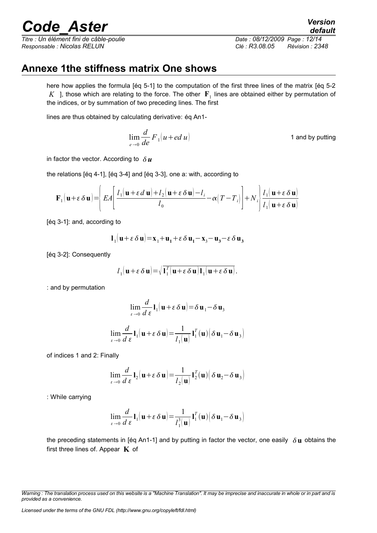*Titre : Un élément fini de câble-poulie Date : 08/12/2009 Page : 12/14 Responsable : Nicolas RELUN Clé : R3.08.05 Révision : 2348*

*default*

## **Annexe 1the stiffness matrix One shows**

<span id="page-11-0"></span>here how applies the formula [éq 5-1] to the computation of the first three lines of the matrix [éq 5-2  $K$  ], those which are relating to the force. The other  $|\mathbf{F}_1|$  lines are obtained either by permutation of the indices, or by summation of two preceding lines. The first

lines are thus obtained by calculating derivative: éq An1-

$$
\lim_{e \to 0} \frac{d}{de} F_1(u + ed \, u) \tag{1 and by putting}
$$

in factor the vector. According to  $\delta u$ 

the relations [éq 4-1], [éq 3-4] and [éq 3-3], one a: with, according to

$$
\mathbf{F}_1(\mathbf{u}+\varepsilon \, \delta \mathbf{u}) = \left( EA \left[ \frac{l_1(\mathbf{u}+\varepsilon \, d\mathbf{u}) + l_2(\mathbf{u}+\varepsilon \, \delta \mathbf{u}) - l_i}{l_0} - \alpha \left( T - T_i \right) \right] + N_i \right) \frac{l_1(\mathbf{u}+\varepsilon \, \delta \mathbf{u})}{l_1(\mathbf{u}+\varepsilon \, \delta \mathbf{u})}
$$

[éq 3-1]: and, according to

**l**<sub>1</sub> $(\mathbf{u} + \varepsilon \delta \mathbf{u}) = \mathbf{x}_1 + \mathbf{u}_1 + \varepsilon \delta \mathbf{u}_1 - \mathbf{x}_3 - \mathbf{u}_3 - \varepsilon \delta \mathbf{u}_3$ 

[éq 3-2]: Consequently

$$
l_1(\mathbf{u}+\varepsilon \delta \mathbf{u}) = \sqrt{\mathbf{I}_1^T(\mathbf{u}+\varepsilon \delta \mathbf{u})\mathbf{I}_1(\mathbf{u}+\varepsilon \delta \mathbf{u})}.
$$

: and by permutation

$$
\lim_{\varepsilon \to 0} \frac{d}{d \varepsilon} \mathbf{1}_1(\mathbf{u} + \varepsilon \delta \mathbf{u}) = \delta \mathbf{u}_1 - \delta \mathbf{u}_3
$$
  

$$
\lim_{\varepsilon \to 0} \frac{d}{d \varepsilon} \mathbf{1}_1(\mathbf{u} + \varepsilon \delta \mathbf{u}) = \frac{1}{l_1(\mathbf{u})} \mathbf{1}_1^T(\mathbf{u}) (\delta \mathbf{u}_1 - \delta \mathbf{u}_3)
$$

of indices 1 and 2: Finally

$$
\lim_{\varepsilon \to 0} \frac{d}{d \varepsilon} \mathbf{l}_2(\mathbf{u} + \varepsilon \delta \mathbf{u}) = \frac{1}{l_2(\mathbf{u})} \mathbf{l}_2^T(\mathbf{u}) \Big( \delta \mathbf{u}_2 - \delta \mathbf{u}_3 \Big)
$$

: While carrying

$$
\lim_{\varepsilon \to 0} \frac{d}{d \varepsilon} \mathbf{1}_1(\mathbf{u} + \varepsilon \delta \mathbf{u}) = \frac{1}{l_1^3(\mathbf{u})} \mathbf{1}_1^T(\mathbf{u}) (\delta \mathbf{u}_1 - \delta \mathbf{u}_3)
$$

the preceding statements in [éq An1-1] and by putting in factor the vector, one easily  $\delta$ **u** obtains the first three lines of. Appear **K** of

*Licensed under the terms of the GNU FDL (http://www.gnu.org/copyleft/fdl.html)*

*Warning : The translation process used on this website is a "Machine Translation". It may be imprecise and inaccurate in whole or in part and is provided as a convenience.*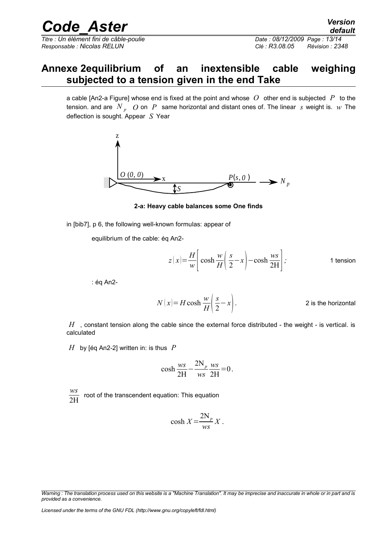*Titre : Un élément fini de câble-poulie Date : 08/12/2009 Page : 13/14 Responsable : Nicolas RELUN Clé : R3.08.05 Révision : 2348*

## **Annexe 2equilibrium of an inextensible cable weighing subjected to a tension given in the end Take**

<span id="page-12-0"></span>a cable [An2-a Figure] whose end is fixed at the point and whose *O* other end is subjected *P* to the tension. and are  $N_p$   $\hat{O}$  on  $P$  same horizontal and distant ones of. The linear *s* weight is.  $w$  The deflection is sought. Appear *S* Year



**2-a: Heavy cable balances some One finds**

in [bib7], p 6, the following well-known formulas: appear of

equilibrium of the cable: éq An2-

$$
z(x) = \frac{H}{w} \left[ \cosh \frac{w}{H} \left( \frac{s}{2} - x \right) - \cosh \frac{ws}{2H} \right];
$$
 1 tension

: éq An2-

$$
N(x) = H \cosh \frac{w}{H} \left( \frac{s}{2} - x \right).
$$
 2 is the horizontal

*H* , constant tension along the cable since the external force distributed - the weight - is vertical. is calculated

*H* by [éq An2-2] written in: is thus *P*

$$
\cosh \frac{ws}{2H} - \frac{2N_p}{ws} \frac{ws}{2H} = 0.
$$

*ws* 2H root of the transcendent equation: This equation

$$
\cosh X = \frac{2N_p}{ws} X.
$$

*Warning : The translation process used on this website is a "Machine Translation". It may be imprecise and inaccurate in whole or in part and is provided as a convenience.*